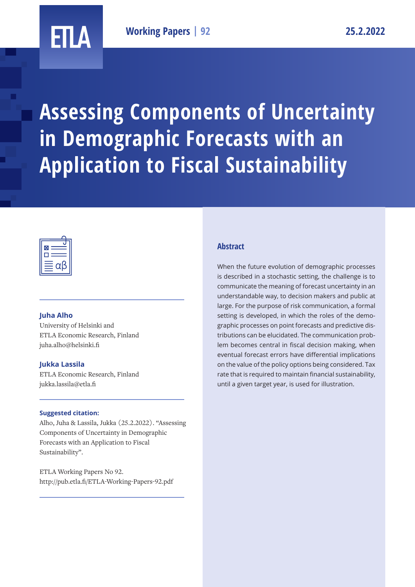## ETLA

**Assessing Components of Uncertainty in Demographic Forecasts with an Application to Fiscal Sustainability**



#### **Juha Alho**

University of Helsinki and ETLA Economic Research, Finland juha.alho@helsinki.fi

#### **Jukka Lassila**

ETLA Economic Research, Finland jukka.lassila@etla.fi

#### **Suggested citation:**

Alho, Juha & Lassila, Jukka (25.2.2022). "Assessing Components of Uncertainty in Demographic Forecasts with an Application to Fiscal Sustainability".

ETLA Working Papers No 92. http://pub.etla.fi/ETLA-Working-Papers-92.pdf

#### **Abstract**

When the future evolution of demographic processes is described in a stochastic setting, the challenge is to communicate the meaning of forecast uncertainty in an understandable way, to decision makers and public at large. For the purpose of risk communication, a formal setting is developed, in which the roles of the demographic processes on point forecasts and predictive distributions can be elucidated. The communication problem becomes central in fiscal decision making, when eventual forecast errors have differential implications on the value of the policy options being considered. Tax rate that is required to maintain financial sustainability, until a given target year, is used for illustration.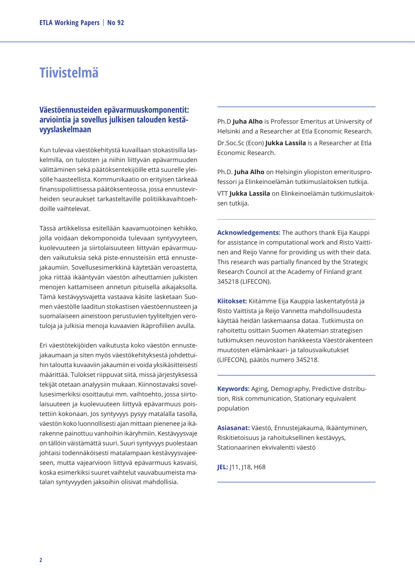## **Tiivistelmä**

#### **Väestöennusteiden epävarmuuskomponentit: arviointia ja sovellus julkisen talouden kestävyyslaskelmaan**

Kun tulevaa väestökehitystä kuvaillaan stokastisilla laskelmilla, on tulosten ja niihin liittyvän epävarmuuden välittäminen sekä päätöksentekijöille että suurelle yleisölle haasteellista. Kommunikaatio on erityisen tärkeää finanssipoliittisessa päätöksenteossa, jossa ennustevirheiden seuraukset tarkasteltaville politiikkavaihtoehdoille vaihtelevat.

Tässä artikkelissa esitellään kaavamuotoinen kehikko, jolla voidaan dekomponoida tulevaan syntyvyyteen, kuolevuuteen ja siirtolaisuuteen liittyvän epävarmuuden vaikutuksia sekä piste-ennusteisiin että ennustejakaumiin. Sovellusesimerkkinä käytetään veroastetta, joka riittää ikääntyvän väestön aiheuttamien julkisten menojen kattamiseen annetun pituisella aikajaksolla. Tämä kestävyysvajetta vastaava käsite lasketaan Suomen väestölle laaditun stokastisen väestöennusteen ja suomalaiseen aineistoon perustuvien tyyliteltyjen verotuloja ja julkisia menoja kuvaavien ikäprofiilien avulla.

Eri väestötekijöiden vaikutusta koko väestön ennustejakaumaan ja siten myös väestökehityksestä johdettuihin taloutta kuvaaviin jakaumiin ei voida yksikäsitteisesti määrittää. Tulokset riippuvat siitä, missä järjestyksessä tekijät otetaan analyysiin mukaan. Kiinnostavaksi sovellusesimerkiksi osoittautui mm. vaihtoehto, jossa siirtolaisuuteen ja kuolevuuteen liittyvä epävarmuus poistettiin kokonaan. Jos syntyvyys pysyy matalalla tasolla, väestön koko luonnollisesti ajan mittaan pienenee ja ikärakenne painottuu vanhoihin ikäryhmiin. Kestävyysvaje on tällöin väistämättä suuri. Suuri syntyvyys puolestaan johtaisi todennäköisesti matalampaan kestävyysvajeeseen, mutta vajearvioon liittyvä epävarmuus kasvaisi, koska esimerkiksi suuret vaihtelut vauvabuumeista matalan syntyvyyden jaksoihin olisivat mahdollisia.

Ph.D **Juha Alho** is Professor Emeritus at University of Helsinki and a Researcher at Etla Economic Research. Dr.Soc.Sc (Econ) **Jukka Lassila** is a Researcher at Etla Economic Research.

Ph.D. **Juha Alho** on Helsingin yliopiston emeritusprofessori ja Elinkeinoelämän tutkimuslaitoksen tutkija. VTT **Jukka Lassila** on Elinkeinoelämän tutkimuslaitoksen tutkija.

**Acknowledgements:** The authors thank Eija Kauppi for assistance in computational work and Risto Vaittinen and Reijo Vanne for providing us with their data. This research was partially financed by the Strategic Research Council at the Academy of Finland grant 345218 (LIFECON).

**Kiitokset:** Kiitämme Eija Kauppia laskentatyöstä ja Risto Vaittista ja Reijo Vannetta mahdollisuudesta käyttää heidän laskemaansa dataa. Tutkimusta on rahoitettu osittain Suomen Akatemian strategisen tutkimuksen neuvoston hankkeesta Väestörakenteen muutosten elämänkaari- ja talousvaikutukset (LIFECON), päätös numero 345218.

**Keywords:** Aging, Demography, Predictive distribution, Risk communication, Stationary equivalent population

**Asiasanat:** Väestö, Ennustejakauma, Ikääntyminen, Riskitietoisuus ja rahoituksellinen kestävyys, Stationaarinen ekvivalentti väestö

**JEL:** J11, J18, H68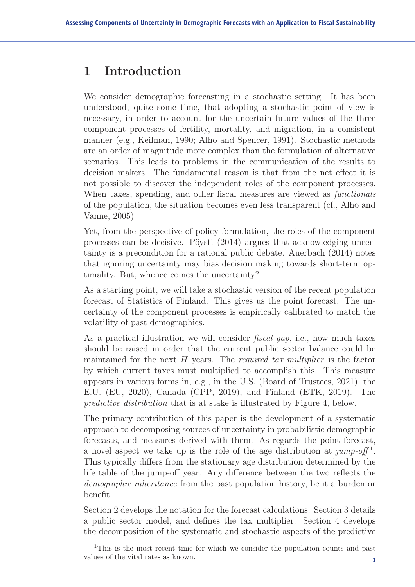munication, station, station, station, station, station, station, station, station, station, station, station,

## 1 Introduction

component processes of fertility, mortality, and migration, in a consistent  $\frac{1}{2}$  manner (e.g., Keilman, 1990; Alho and Spencer, 1991). Stochastic methods are an order of magnitude more complex than the formulation of alternative scenarios. This leads to problems in the communication of the results to decision makers. The fundamental reason is that from the net effect it is not possible to discover the independent roles of the component processes. When taxes, spending, and other fiscal measures are viewed as *functionals* of the population, the situation becomes even less transparent (cf., Alho and Vanne, 2005) We consider demographic forecasting in a stochastic setting. It has been understood, quite some time, that adopting a stochastic point of view is necessary, in order to account for the uncertain future values of the three  $\mu$  manner (e.g., Nemman, 1990, Anno and Spencer, 1991). Supportance measurement

Yet, from the perspective of policy formulation, the roles of the component processes can be decisive. Pöysti (2014) argues that acknowledging uncertainty is a precondition for a rational public debate. Auerbach (2014) notes that ignoring uncertainty may bias decision making towards short-term optimality. But, whence comes the uncertainty?

As a starting point, we will take a stochastic version of the recent population forecast of Statistics of Finland. This gives us the point forecast. The uncertainty of the component processes is empirically calibrated to match the volatility of past demographics.

As a practical illustration we will consider *fiscal gap*, i.e., how much taxes should be raised in order that the current public sector balance could be maintained for the next H years. The *required tax multiplier* is the factor by which current taxes must multiplied to accomplish this. This measure appears in various forms in, e.g., in the U.S. (Board of Trustees, 2021), the E.U. (EU, 2020), Canada (CPP, 2019), and Finland (ETK, 2019). The *predictive distribution* that is at stake is illustrated by Figure 4, below.

The primary contribution of this paper is the development of a systematic approach to decomposing sources of uncertainty in probabilistic demographic forecasts, and measures derived with them. As regards the point forecast, a novel aspect we take up is the role of the age distribution at *jump-off* <sup>1</sup>. This typically differs from the stationary age distribution determined by the life table of the jump-off year. Any difference between the two reflects the *demographic inheritance* from the past population history, be it a burden or benefit.

Section 2 develops the notation for the forecast calculations. Section 3 details a public sector model, and defines the tax multiplier. Section 4 develops the decomposition of the systematic and stochastic aspects of the predictive

values of the vital rates as  $\lambda$ 100 m. <sup>1</sup>This is the most recent time for which we consider the population counts and past values of the vital rates as known.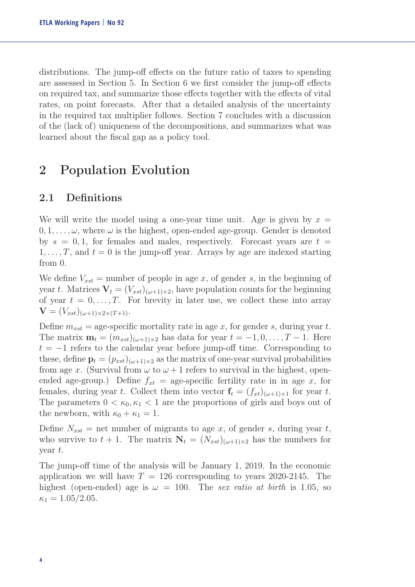distributions. The jump-off effects on the future ratio of taxes to spending are assessed in Section 5. In Section 6 we first consider the jump-off effects on required tax, and summarize those effects together with the effects of vital rates, on point forecasts. After that a detailed analysis of the uncertainty in the required tax multiplier follows. Section 7 concludes with a discussion of the (lack of) uniqueness of the decompositions, and summarizes what was learned about the fiscal gap as a policy tool.

## 2 Population Evolution

#### 2.1 Definitions

We will write the model using a one-year time unit. Age is given by  $x =$  $0, 1, \ldots, \omega$ , where  $\omega$  is the highest, open-ended age-group. Gender is denoted by  $s = 0, 1$ , for females and males, respectively. Forecast years are  $t =$  $1,\ldots,T$ , and  $t=0$  is the jump-off year. Arrays by age are indexed starting from 0.

We define  $V_{xst}$  = number of people in age x, of gender s, in the beginning of year t. Matrices  $V_t = (V_{xst})_{(\omega+1)\times 2}$ , have population counts for the beginning of year  $t = 0, \ldots, T$ . For brevity in later use, we collect these into array  $\mathbf{V} = (V_{xst})_{(\omega+1)\times 2\times (T+1)}.$ 

Define  $m_{xst}$  = age-specific mortality rate in age x, for gender s, during year t. The matrix  $\mathbf{m}_t = (m_{xst})_{(\omega+1)\times 2}$  has data for year  $t = -1, 0, \dots, T-1$ . Here  $t = -1$  refers to the calendar year before jump-off time. Corresponding to these, define  $\mathbf{p}_t = (p_{xst})_{(\omega+1)\times 2}$  as the matrix of one-year survival probabilities from age x. (Survival from  $\omega$  to  $\omega + 1$  refers to survival in the highest, openended age-group.) Define  $f_{xt} =$  age-specific fertility rate in in age x, for females, during year t. Collect them into vector  $f_t = (f_{xt})_{(\omega+1)\times 1}$  for year t. The parameters  $0 < \kappa_0, \kappa_1 < 1$  are the proportions of girls and boys out of the newborn, with  $\kappa_0 + \kappa_1 = 1$ .

Define  $N_{xst}$  = net number of migrants to age x, of gender s, during year t, who survive to  $t + 1$ . The matrix  $N_t = (N_{rst})_{(\omega+1)\times 2}$  has the numbers for year t.

The jump-off time of the analysis will be January 1, 2019. In the economic application we will have  $T = 126$  corresponding to years 2020-2145. The highest (open-ended) age is  $\omega = 100$ . The *sex ratio at birth* is 1.05, so  $\kappa_1 = 1.05/2.05$ .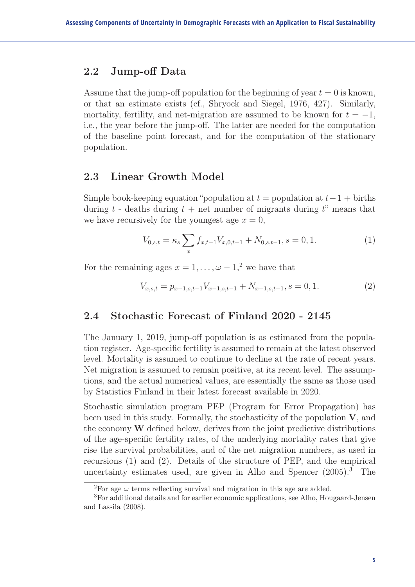#### 2.2 Jump-off Data

Assume that the jump-off population for the beginning of year  $t = 0$  is known, or that an estimate exists (cf., Shryock and Siegel, 1976, 427). Similarly, mortality, fertility, and net-migration are assumed to be known for  $t = -1$ , i.e., the year before the jump-off. The latter are needed for the computation of the baseline point forecast, and for the computation of the stationary population.

#### 2.3 Linear Growth Model

Simple book-keeping equation "population at  $t =$  population at  $t - 1 +$  births during t - deaths during  $t +$  net number of migrants during t" means that we have recursively for the youngest age  $x = 0$ ,

$$
V_{0,s,t} = \kappa_s \sum_x f_{x,t-1} V_{x,0,t-1} + N_{0,s,t-1}, s = 0, 1.
$$
 (1)

For the remaining ages  $x = 1, \ldots, \omega - 1$ <sup>2</sup>, we have that

$$
V_{x,s,t} = p_{x-1,s,t-1} V_{x-1,s,t-1} + N_{x-1,s,t-1}, s = 0, 1.
$$
 (2)

#### 2.4 Stochastic Forecast of Finland 2020 - 2145

The January 1, 2019, jump-off population is as estimated from the population register. Age-specific fertility is assumed to remain at the latest observed level. Mortality is assumed to continue to decline at the rate of recent years. Net migration is assumed to remain positive, at its recent level. The assumptions, and the actual numerical values, are essentially the same as those used by Statistics Finland in their latest forecast available in 2020.

Stochastic simulation program PEP (Program for Error Propagation) has been used in this study. Formally, the stochasticity of the population  $V$ , and the economy W defined below, derives from the joint predictive distributions of the age-specific fertility rates, of the underlying mortality rates that give rise the survival probabilities, and of the net migration numbers, as used in recursions (1) and (2). Details of the structure of PEP, and the empirical uncertainty estimates used, are given in Alho and Spencer (2005).<sup>3</sup> The

<sup>&</sup>lt;sup>2</sup>For age  $\omega$  terms reflecting survival and migration in this age are added.

<sup>3</sup>For additional details and for earlier economic applications, see Alho, Hougaard-Jensen and Lassila (2008).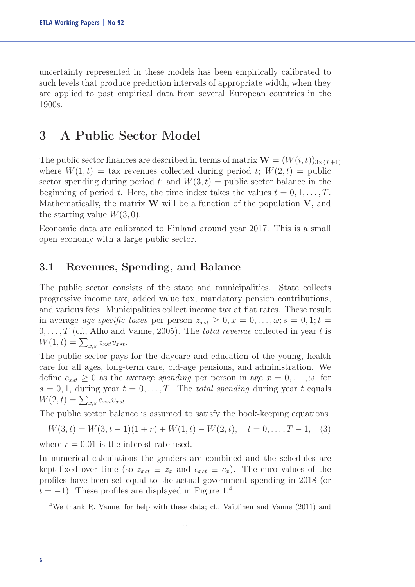uncertainty represented in these models has been empirically calibrated to such levels that produce prediction intervals of appropriate width, when they are applied to past empirical data from several European countries in the 1900s.

## 3 A Public Sector Model

The public sector finances are described in terms of matrix  $\mathbf{W} = (W(i, t))_{3 \times (T+1)}$ where  $W(1,t) = \text{tax revenues collected during period } t$ ;  $W(2,t) = \text{public}$ sector spending during period t; and  $W(3, t) =$  public sector balance in the beginning of period t. Here, the time index takes the values  $t = 0, 1, \ldots, T$ . Mathematically, the matrix  $W$  will be a function of the population  $V$ , and the starting value  $W(3,0)$ .

Economic data are calibrated to Finland around year 2017. This is a small open economy with a large public sector.

#### 3.1 Revenues, Spending, and Balance

The public sector consists of the state and municipalities. State collects progressive income tax, added value tax, mandatory pension contributions, and various fees. Municipalities collect income tax at flat rates. These result in average *age-specific taxes* per person  $z_{xst} \geq 0, x = 0, \ldots, \omega; s = 0, 1; t =$ 0,...,T (cf., Alho and Vanne, 2005). The *total revenue* collected in year t is  $W(1,t) = \sum_{x,s} z_{xst} v_{xst}.$ 

The public sector pays for the daycare and education of the young, health care for all ages, long-term care, old-age pensions, and administration. We define  $c_{xst} \geq 0$  as the average *spending* per person in age  $x = 0, \ldots, \omega$ , for  $s = 0, 1$ , during year  $t = 0, \ldots, T$ . The *total spending* during year t equals  $W(2,t) = \sum_{x,s} c_{xst} v_{xst}.$ 

The public sector balance is assumed to satisfy the book-keeping equations

$$
W(3,t) = W(3,t-1)(1+r) + W(1,t) - W(2,t), \quad t = 0, \dots, T-1,
$$
 (3)

where  $r = 0.01$  is the interest rate used.

In numerical calculations the genders are combined and the schedules are kept fixed over time (so  $z_{xst} \equiv z_x$  and  $c_{xst} \equiv c_x$ ). The euro values of the profiles have been set equal to the actual government spending in 2018 (or  $t = -1$ ). These profiles are displayed in Figure 1.<sup>4</sup>

 $\overline{a}$ 

<sup>4</sup>We thank R. Vanne, for help with these data; cf., Vaittinen and Vanne (2011) and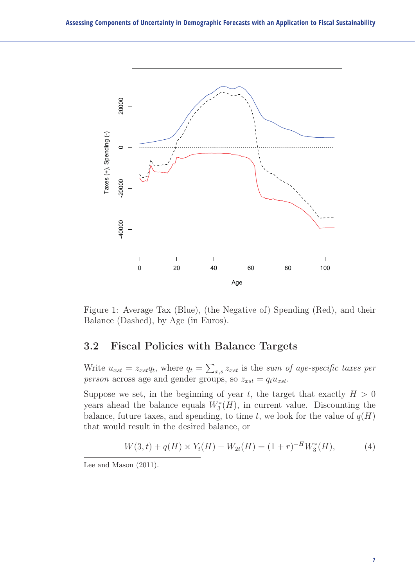

Figure 1: Average Tax (Blue), (the Negative of) Spending (Red), and their Balance (Dashed), by Age (in Euros).

#### 3.2 Fiscal Policies with Balance Targets

Write  $u_{xst} = z_{xst}q_t$ , where  $q_t = \sum_{x,s} z_{xst}$  is the *sum of age-specific taxes per person* across age and gender groups, so  $z_{xst} = q_t u_{xst}$ .

Suppose we set, in the beginning of year t, the target that exactly  $H > 0$ years ahead the balance equals  $W_3^*(H)$ , in current value. Discounting the balance, future taxes, and spending, to time t, we look for the value of  $q(H)$ that would result in the desired balance, or

$$
W(3,t) + q(H) \times Y_t(H) - W_{2t}(H) = (1+r)^{-H} W_3^*(H), \tag{4}
$$

Lee and Mason (2011).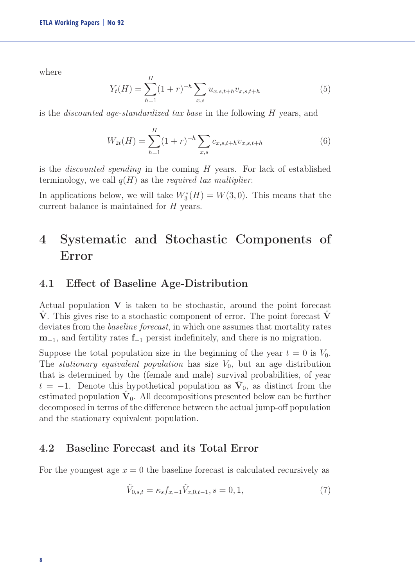where

$$
Y_t(H) = \sum_{h=1}^{H} (1+r)^{-h} \sum_{x,s} u_{x,s,t+h} v_{x,s,t+h}
$$
(5)

is the *discounted age-standardized tax base* in the following H years, and

$$
W_{2t}(H) = \sum_{h=1}^{H} (1+r)^{-h} \sum_{x,s} c_{x,s,t+h} v_{x,s,t+h}
$$
(6)

is the *discounted spending* in the coming H years. For lack of established terminology, we call q(H) as the *required tax multiplier*.

In applications below, we will take  $W_3^*(H) = W(3,0)$ . This means that the current balance is maintained for H years.

## 4 Systematic and Stochastic Components of Error

#### 4.1 Effect of Baseline Age-Distribution

Actual population  $V$  is taken to be stochastic, around the point forecast V. This gives rise to a stochastic component of error. The point forecast V deviates from the *baseline forecast*, in which one assumes that mortality rates  $m_{-1}$ , and fertility rates  $f_{-1}$  persist indefinitely, and there is no migration.

Suppose the total population size in the beginning of the year  $t = 0$  is  $V_0$ . The *stationary equivalent population* has size  $V_0$ , but an age distribution that is determined by the (female and male) survival probabilities, of year  $t = -1$ . Denote this hypothetical population as  $V_0$ , as distinct from the estimated population  $V_0$ . All decompositions presented below can be further decomposed in terms of the difference between the actual jump-off population and the stationary equivalent population.

#### 4.2 Baseline Forecast and its Total Error

For the youngest age  $x = 0$  the baseline forecast is calculated recursively as

$$
\tilde{V}_{0,s,t} = \kappa_s f_{x,-1} \tilde{V}_{x,0,t-1}, s = 0, 1,
$$
\n(7)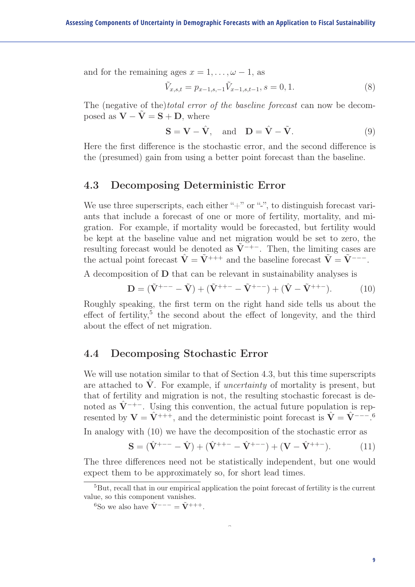and for the remaining ages  $x = 1, \ldots, \omega - 1$ , as

$$
\tilde{V}_{x,s,t} = p_{x-1,s,-1} \tilde{V}_{x-1,s,t-1}, s = 0, 1.
$$
\n(8)

The (negative of the)*total error of the baseline forecast* can now be decomposed as  $V - \tilde{V} = S + D$ , where

$$
\mathbf{S} = \mathbf{V} - \hat{\mathbf{V}}, \text{ and } \mathbf{D} = \hat{\mathbf{V}} - \tilde{\mathbf{V}}.
$$
 (9)

Here the first difference is the stochastic error, and the second difference is the (presumed) gain from using a better point forecast than the baseline.

#### 4.3 Decomposing Deterministic Error

We use three superscripts, each either " $+$ " or "-", to distinguish forecast variants that include a forecast of one or more of fertility, mortality, and migration. For example, if mortality would be forecasted, but fertility would be kept at the baseline value and net migration would be set to zero, the resulting forecast would be denoted as  $\tilde{V}^{-+-}$ . Then, the limiting cases are the actual point forecast  $\hat{\mathbf{V}} = \tilde{\mathbf{V}}^{+++}$  and the baseline forecast  $\tilde{\mathbf{V}} = \tilde{\mathbf{V}}^{---}$ .

A decomposition of D that can be relevant in sustainability analyses is

$$
\mathbf{D} = (\tilde{\mathbf{V}}^{+--} - \tilde{\mathbf{V}}) + (\tilde{\mathbf{V}}^{++-} - \tilde{\mathbf{V}}^{+--}) + (\hat{\mathbf{V}} - \tilde{\mathbf{V}}^{++-}).
$$
 (10)

Roughly speaking, the first term on the right hand side tells us about the effect of fertility,<sup>5</sup> the second about the effect of longevity, and the third about the effect of net migration.

#### 4.4 Decomposing Stochastic Error

We will use notation similar to that of Section 4.3, but this time superscripts are attached to  $\dot{V}$ . For example, if *uncertainty* of mortality is present, but that of fertility and migration is not, the resulting stochastic forecast is denoted as  $\hat{V}^{-+-}$ . Using this convention, the actual future population is represented by  $V = \hat{V}^{+++}$ , and the deterministic point forecast is  $\hat{V} = \hat{V}^{---}$ <sup>6</sup> In analogy with (10) we have the decomposition of the stochastic error as

$$
\mathbf{S} = (\hat{\mathbf{V}}^{+--} - \hat{\mathbf{V}}) + (\hat{\mathbf{V}}^{++-} - \hat{\mathbf{V}}^{+--}) + (\mathbf{V} - \hat{\mathbf{V}}^{++-}).
$$
 (11)

The three differences need not be statistically independent, but one would expect them to be approximately so, for short lead times.

 $\hat{a}$ 

<sup>5</sup>But, recall that in our empirical application the point forecast of fertility is the current value, so this component vanishes.

<sup>&</sup>lt;sup>6</sup>So we also have  $\hat{\mathbf{V}}$ <sup>---</sup> =  $\tilde{\mathbf{V}}$ <sup>+++</sup>.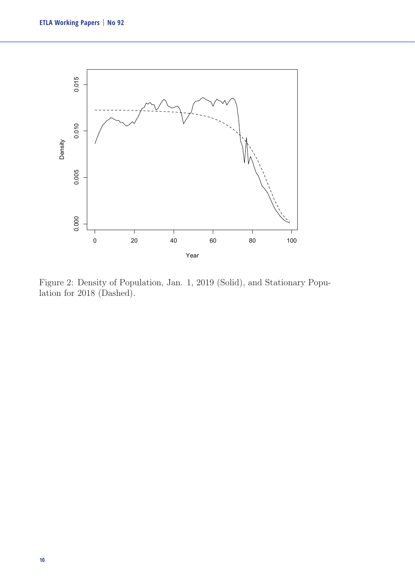

Figure 2: Density of Population, Jan. 1, 2019 (Solid), and Stationary Population for 2018 (Dashed).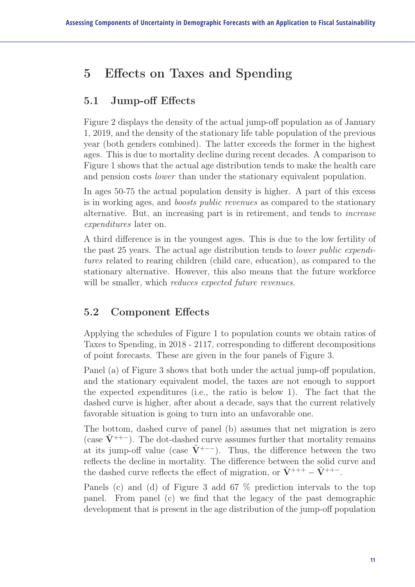## 5 Effects on Taxes and Spending

#### 5.1 Jump-off Effects

Figure 2 displays the density of the actual jump-off population as of January 1, 2019, and the density of the stationary life table population of the previous year (both genders combined). The latter exceeds the former in the highest ages. This is due to mortality decline during recent decades. A comparison to Figure 1 shows that the actual age distribution tends to make the health care and pension costs *lower* than under the stationary equivalent population.

In ages 50-75 the actual population density is higher. A part of this excess is in working ages, and *boosts public revenues* as compared to the stationary alternative. But, an increasing part is in retirement, and tends to *increase expenditures* later on.

A third difference is in the youngest ages. This is due to the low fertility of the past 25 years. The actual age distribution tends to *lower public expenditures* related to rearing children (child care, education), as compared to the stationary alternative. However, this also means that the future workforce will be smaller, which *reduces expected future revenues*.

#### 5.2 Component Effects

Applying the schedules of Figure 1 to population counts we obtain ratios of Taxes to Spending, in 2018 - 2117, corresponding to different decompositions of point forecasts. These are given in the four panels of Figure 3.

Panel (a) of Figure 3 shows that both under the actual jump-off population, and the stationary equivalent model, the taxes are not enough to support the expected expenditures (i.e., the ratio is below 1). The fact that the dashed curve is higher, after about a decade, says that the current relatively favorable situation is going to turn into an unfavorable one.

The bottom, dashed curve of panel (b) assumes that net migration is zero (case  $\tilde{V}^{++-}$ ). The dot-dashed curve assumes further that mortality remains at its jump-off value (case  $V^{+--}$ ). Thus, the difference between the two reflects the decline in mortality. The difference between the solid curve and the dashed curve reflects the effect of migration, or  $\tilde{\mathbf{V}}$ <sup>+++</sup> –  $\tilde{\mathbf{V}}$ <sup>++-</sup>.

Panels (c) and (d) of Figure 3 add 67 % prediction intervals to the top panel. From panel (c) we find that the legacy of the past demographic development that is present in the age distribution of the jump-off population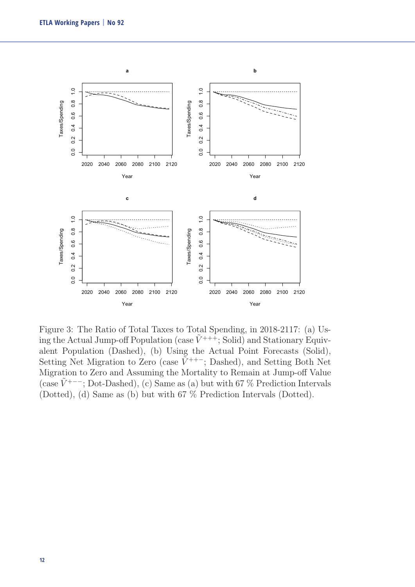

Figure 3: The Ratio of Total Taxes to Total Spending, in 2018-2117: (a) Using the Actual Jump-off Population (case  $\tilde{V}^{+++}$ ; Solid) and Stationary Equivalent Population (Dashed), (b) Using the Actual Point Forecasts (Solid), Setting Net Migration to Zero (case  $\tilde{V}^{++-}$ ; Dashed), and Setting Both Net Migration to Zero and Assuming the Mortality to Remain at Jump-off Value (case  $\tilde{V}^{+--}$ ; Dot-Dashed), (c) Same as (a) but with 67 % Prediction Intervals (Dotted), (d) Same as (b) but with 67 % Prediction Intervals (Dotted).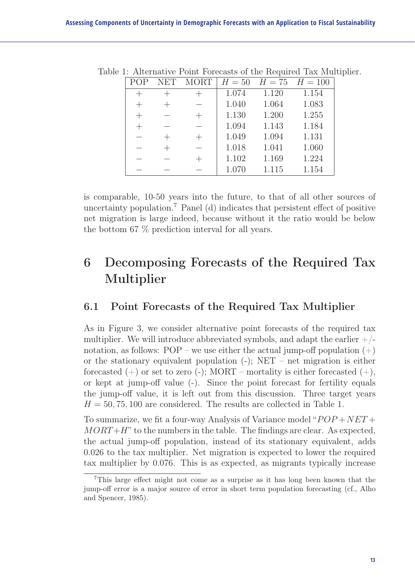|  |  | NET MORT $H = 50$ $H = 75$ $H = 100$ |       |       |
|--|--|--------------------------------------|-------|-------|
|  |  | 1.074                                | 1.120 | 1.154 |
|  |  | 1.040                                | 1.064 | 1.083 |
|  |  | 1.130                                | 1.200 | 1.255 |
|  |  | 1.094                                | 1.143 | 1.184 |
|  |  | 1.049                                | 1.094 | 1.131 |
|  |  | 1.018                                | 1.041 | 1.060 |
|  |  | 1.102                                | 1.169 | 1.224 |
|  |  | 1.070                                | 1.115 | 1.154 |

Table 1: Alternative Point Forecasts of the Required Tax Multiplier.

is comparable, 10-50 years into the future, to that of all other sources of uncertainty population.<sup>7</sup> Panel (d) indicates that persistent effect of positive net migration is large indeed, because without it the ratio would be below the bottom 67 % prediction interval for all years.

## 6 Decomposing Forecasts of the Required Tax Multiplier

#### 6.1 Point Forecasts of the Required Tax Multiplier

As in Figure 3, we consider alternative point forecasts of the required tax multiplier. We will introduce abbreviated symbols, and adapt the earlier  $+/$ notation, as follows:  $POP - we$  use either the actual jump-off population  $(+)$ or the stationary equivalent population  $(-)$ ; NET – net migration is either forecasted  $(+)$  or set to zero  $(-)$ ; MORT – mortality is either forecasted  $(+)$ , or kept at jump-off value (-). Since the point forecast for fertility equals the jump-off value, it is left out from this discussion. Three target years  $H = 50, 75, 100$  are considered. The results are collected in Table 1.

To summarize, we fit a four-way Analysis of Variance model " $POP + NET +$  $MORT+H$ " to the numbers in the table. The findings are clear. As expected, the actual jump-off population, instead of its stationary equivalent, adds 0.026 to the tax multiplier. Net migration is expected to lower the required tax multiplier by 0.076. This is as expected, as migrants typically increase

<sup>7</sup>This large effect might not come as a surprise as it has long been known that the jump-off error is a major source of error in short term population forecasting (cf., Alho and Spencer, 1985).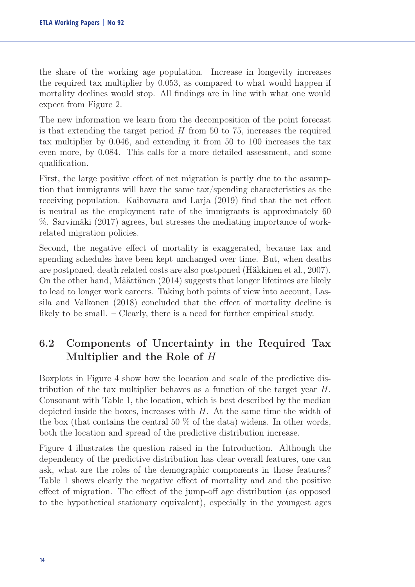the share of the working age population. Increase in longevity increases the required tax multiplier by 0.053, as compared to what would happen if mortality declines would stop. All findings are in line with what one would expect from Figure 2.

The new information we learn from the decomposition of the point forecast is that extending the target period  $H$  from 50 to 75, increases the required tax multiplier by 0.046, and extending it from 50 to 100 increases the tax even more, by 0.084. This calls for a more detailed assessment, and some qualification.

First, the large positive effect of net migration is partly due to the assumption that immigrants will have the same tax/spending characteristics as the receiving population. Kaihovaara and Larja (2019) find that the net effect is neutral as the employment rate of the immigrants is approximately 60 %. Sarvimäki (2017) agrees, but stresses the mediating importance of workrelated migration policies.

Second, the negative effect of mortality is exaggerated, because tax and spending schedules have been kept unchanged over time. But, when deaths are postponed, death related costs are also postponed (Häkkinen et al., 2007). On the other hand, Määttänen (2014) suggests that longer lifetimes are likely to lead to longer work careers. Taking both points of view into account, Lassila and Valkonen (2018) concluded that the effect of mortality decline is likely to be small. – Clearly, there is a need for further empirical study.

#### 6.2 Components of Uncertainty in the Required Tax Multiplier and the Role of H

Boxplots in Figure 4 show how the location and scale of the predictive distribution of the tax multiplier behaves as a function of the target year H. Consonant with Table 1, the location, which is best described by the median depicted inside the boxes, increases with  $H$ . At the same time the width of the box (that contains the central 50 % of the data) widens. In other words, both the location and spread of the predictive distribution increase.

Figure 4 illustrates the question raised in the Introduction. Although the dependency of the predictive distribution has clear overall features, one can ask, what are the roles of the demographic components in those features? Table 1 shows clearly the negative effect of mortality and and the positive effect of migration. The effect of the jump-off age distribution (as opposed to the hypothetical stationary equivalent), especially in the youngest ages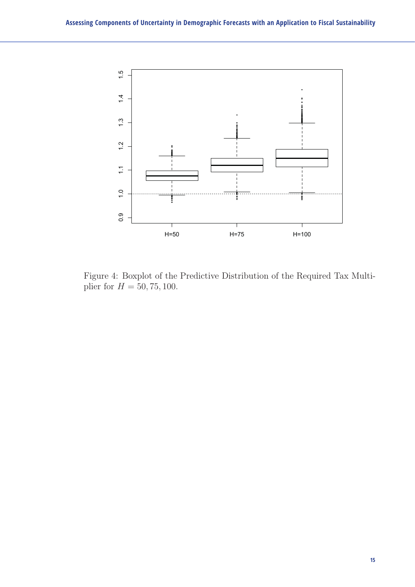

Figure 4: Boxplot of the Predictive Distribution of the Required Tax Multiplier for  $H = 50, 75, 100$ .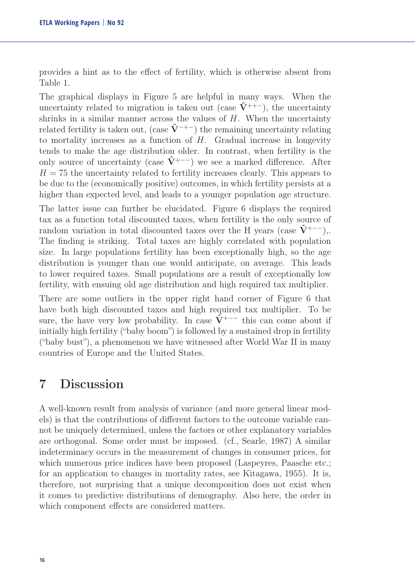provides a hint as to the effect of fertility, which is otherwise absent from Table 1.

The graphical displays in Figure 5 are helpful in many ways. When the uncertainty related to migration is taken out (case  $\hat{V}^{++-}$ ), the uncertainty shrinks in a similar manner across the values of  $H$ . When the uncertainty related fertility is taken out, (case  $\hat{V}^{-+-}$ ) the remaining uncertainty relating to mortality increases as a function of  $H$ . Gradual increase in longevity tends to make the age distribution older. In contrast, when fertility is the only source of uncertainty (case  $\hat{V}^{+--}$ ) we see a marked difference. After  $H = 75$  the uncertainty related to fertility increases clearly. This appears to be due to the (economically positive) outcomes, in which fertility persists at a higher than expected level, and leads to a younger population age structure.

The latter issue can further be elucidated. Figure 6 displays the required tax as a function total discounted taxes, when fertility is the only source of random variation in total discounted taxes over the H years (case  $\hat{V}^{+--}$ ),. The finding is striking. Total taxes are highly correlated with population size. In large populations fertility has been exceptionally high, so the age distribution is younger than one would anticipate, on average. This leads to lower required taxes. Small populations are a result of exceptionally low fertility, with ensuing old age distribution and high required tax multiplier.

There are some outliers in the upper right hand corner of Figure 6 that have both high discounted taxes and high required tax multiplier. To be sure, the have very low probability. In case  $\hat{\hat{V}}$ <sup>+---</sup> this can come about if initially high fertility ("baby boom") is followed by a sustained drop in fertility ("baby bust"), a phenomenon we have witnessed after World War II in many countries of Europe and the United States.

### 7 Discussion

A well-known result from analysis of variance (and more general linear models) is that the contributions of different factors to the outcome variable cannot be uniquely determined, unless the factors or other explanatory variables are orthogonal. Some order must be imposed. (cf., Searle, 1987) A similar indeterminacy occurs in the measurement of changes in consumer prices, for which numerous price indices have been proposed (Laspeyres, Paasche etc.; for an application to changes in mortality rates, see Kitagawa, 1955). It is, therefore, not surprising that a unique decomposition does not exist when it comes to predictive distributions of demography. Also here, the order in which component effects are considered matters.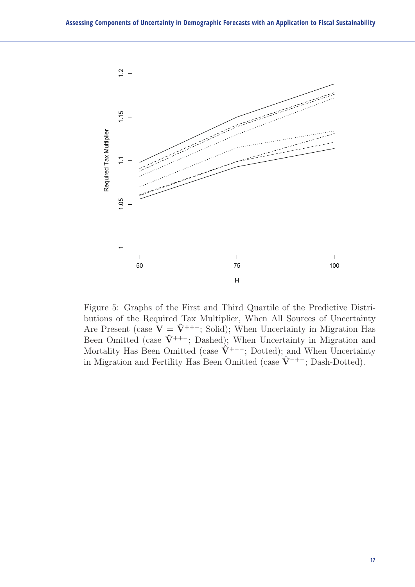

Figure 5: Graphs of the First and Third Quartile of the Predictive Distributions of the Required Tax Multiplier, When All Sources of Uncertainty Are Present (case  $\mathbf{\dot{V}} = \mathbf{\hat{V}}^{+++}$ ; Solid); When Uncertainty in Migration Has Been Omitted (case  $\hat{V}^{++-}$ ; Dashed); When Uncertainty in Migration and Mortality Has Been Omitted (case  $\hat{\mathbf{V}}$ <sup>+---</sup>; Dotted); and When Uncertainty in Migration and Fertility Has Been Omitted (case  $\hat{V}^{-+-}$ ; Dash-Dotted).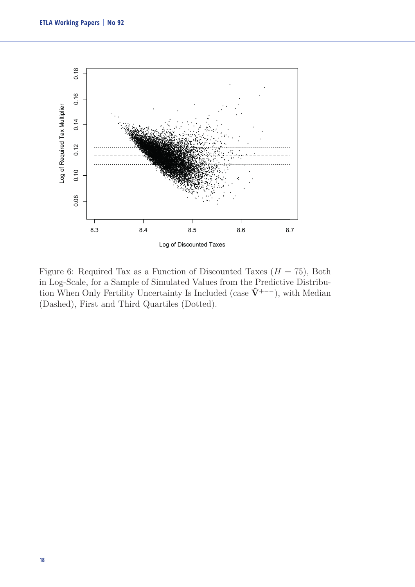

Figure 6: Required Tax as a Function of Discounted Taxes  $(H = 75)$ , Both in Log-Scale, for a Sample of Simulated Values from the Predictive Distribution When Only Fertility Uncertainty Is Included (case  $\hat{V}^{+--}$ ), with Median (Dashed), First and Third Quartiles (Dotted).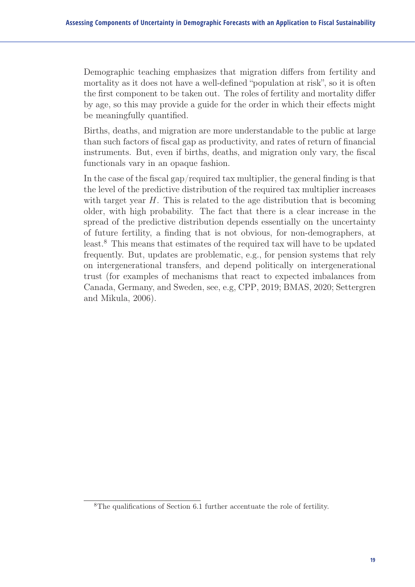Demographic teaching emphasizes that migration differs from fertility and mortality as it does not have a well-defined "population at risk", so it is often the first component to be taken out. The roles of fertility and mortality differ by age, so this may provide a guide for the order in which their effects might be meaningfully quantified.

Births, deaths, and migration are more understandable to the public at large than such factors of fiscal gap as productivity, and rates of return of financial instruments. But, even if births, deaths, and migration only vary, the fiscal functionals vary in an opaque fashion.

In the case of the fiscal gap/required tax multiplier, the general finding is that the level of the predictive distribution of the required tax multiplier increases with target year  $H$ . This is related to the age distribution that is becoming older, with high probability. The fact that there is a clear increase in the spread of the predictive distribution depends essentially on the uncertainty of future fertility, a finding that is not obvious, for non-demographers, at least.<sup>8</sup> This means that estimates of the required tax will have to be updated frequently. But, updates are problematic, e.g., for pension systems that rely on intergenerational transfers, and depend politically on intergenerational trust (for examples of mechanisms that react to expected imbalances from Canada, Germany, and Sweden, see, e.g, CPP, 2019; BMAS, 2020; Settergren and Mikula, 2006).

<sup>8</sup>The qualifications of Section 6.1 further accentuate the role of fertility.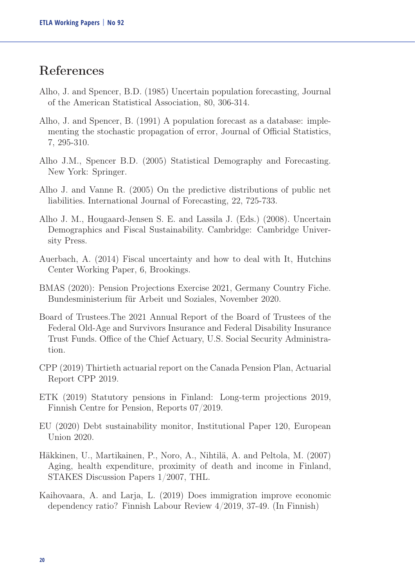## References

- Alho, J. and Spencer, B.D. (1985) Uncertain population forecasting, Journal of the American Statistical Association, 80, 306-314.
- Alho, J. and Spencer, B. (1991) A population forecast as a database: implementing the stochastic propagation of error, Journal of Official Statistics, 7, 295-310.
- Alho J.M., Spencer B.D. (2005) Statistical Demography and Forecasting. New York: Springer.
- Alho J. and Vanne R. (2005) On the predictive distributions of public net liabilities. International Journal of Forecasting, 22, 725-733.
- Alho J. M., Hougaard-Jensen S. E. and Lassila J. (Eds.) (2008). Uncertain Demographics and Fiscal Sustainability. Cambridge: Cambridge University Press.
- Auerbach, A. (2014) Fiscal uncertainty and how to deal with It, Hutchins Center Working Paper, 6, Brookings.
- BMAS (2020): Pension Projections Exercise 2021, Germany Country Fiche. Bundesministerium für Arbeit und Soziales, November 2020.
- Board of Trustees.The 2021 Annual Report of the Board of Trustees of the Federal Old-Age and Survivors Insurance and Federal Disability Insurance Trust Funds. Office of the Chief Actuary, U.S. Social Security Administration.
- CPP (2019) Thirtieth actuarial report on the Canada Pension Plan, Actuarial Report CPP 2019.
- ETK (2019) Statutory pensions in Finland: Long-term projections 2019, Finnish Centre for Pension, Reports 07/2019.
- EU (2020) Debt sustainability monitor, Institutional Paper 120, European Union 2020.
- Häkkinen, U., Martikainen, P., Noro, A., Nihtilä, A. and Peltola, M. (2007) Aging, health expenditure, proximity of death and income in Finland, STAKES Discussion Papers 1/2007, THL.
- Kaihovaara, A. and Larja, L. (2019) Does immigration improve economic dependency ratio? Finnish Labour Review 4/2019, 37-49. (In Finnish)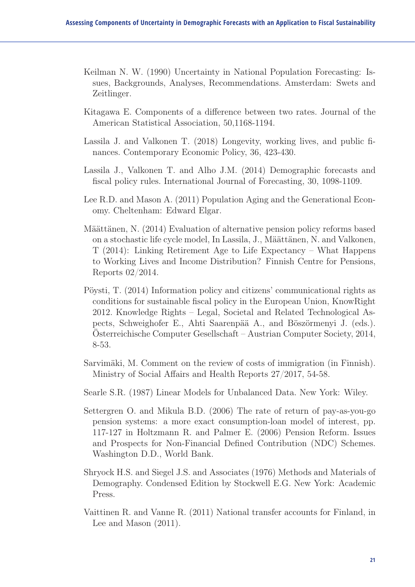- Keilman N. W. (1990) Uncertainty in National Population Forecasting: Issues, Backgrounds, Analyses, Recommendations. Amsterdam: Swets and Zeitlinger.
- Kitagawa E. Components of a difference between two rates. Journal of the American Statistical Association, 50,1168-1194.
- Lassila J. and Valkonen T. (2018) Longevity, working lives, and public finances. Contemporary Economic Policy, 36, 423-430.
- Lassila J., Valkonen T. and Alho J.M. (2014) Demographic forecasts and fiscal policy rules. International Journal of Forecasting, 30, 1098-1109.
- Lee R.D. and Mason A. (2011) Population Aging and the Generational Economy. Cheltenham: Edward Elgar.
- Määttänen, N. (2014) Evaluation of alternative pension policy reforms based on a stochastic life cycle model, In Lassila, J., Määttänen, N. and Valkonen, T (2014): Linking Retirement Age to Life Expectancy – What Happens to Working Lives and Income Distribution? Finnish Centre for Pensions, Reports 02/2014.
- Pöysti, T. (2014) Information policy and citizens' communicational rights as conditions for sustainable fiscal policy in the European Union, KnowRight 2012. Knowledge Rights – Legal, Societal and Related Technological Aspects, Schweighofer E., Ahti Saarenpää A., and Böszörmenyi J. (eds.). Österreichische Computer Gesellschaft – Austrian Computer Society, 2014, 8-53.
- Sarvimäki, M. Comment on the review of costs of immigration (in Finnish). Ministry of Social Affairs and Health Reports 27/2017, 54-58.
- Searle S.R. (1987) Linear Models for Unbalanced Data. New York: Wiley.
- Settergren O. and Mikula B.D. (2006) The rate of return of pay-as-you-go pension systems: a more exact consumption-loan model of interest, pp. 117-127 in Holtzmann R. and Palmer E. (2006) Pension Reform. Issues and Prospects for Non-Financial Defined Contribution (NDC) Schemes. Washington D.D., World Bank.
- Shryock H.S. and Siegel J.S. and Associates (1976) Methods and Materials of Demography. Condensed Edition by Stockwell E.G. New York: Academic Press.
- Vaittinen R. and Vanne R. (2011) National transfer accounts for Finland, in Lee and Mason (2011).